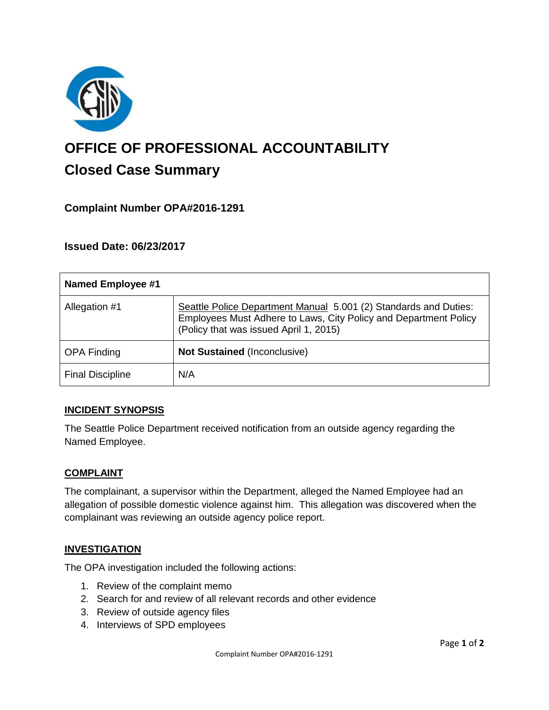

# **OFFICE OF PROFESSIONAL ACCOUNTABILITY Closed Case Summary**

## **Complaint Number OPA#2016-1291**

## **Issued Date: 06/23/2017**

| Named Employee #1       |                                                                                                                                                                                |
|-------------------------|--------------------------------------------------------------------------------------------------------------------------------------------------------------------------------|
| Allegation #1           | Seattle Police Department Manual 5.001 (2) Standards and Duties:<br>Employees Must Adhere to Laws, City Policy and Department Policy<br>(Policy that was issued April 1, 2015) |
| <b>OPA Finding</b>      | <b>Not Sustained (Inconclusive)</b>                                                                                                                                            |
| <b>Final Discipline</b> | N/A                                                                                                                                                                            |

#### **INCIDENT SYNOPSIS**

The Seattle Police Department received notification from an outside agency regarding the Named Employee.

#### **COMPLAINT**

The complainant, a supervisor within the Department, alleged the Named Employee had an allegation of possible domestic violence against him. This allegation was discovered when the complainant was reviewing an outside agency police report.

#### **INVESTIGATION**

The OPA investigation included the following actions:

- 1. Review of the complaint memo
- 2. Search for and review of all relevant records and other evidence
- 3. Review of outside agency files
- 4. Interviews of SPD employees